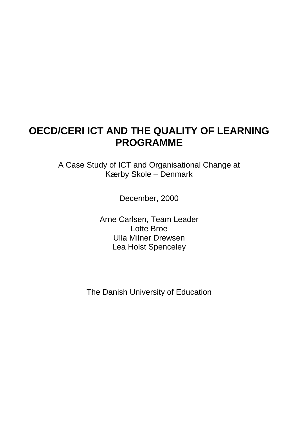## **OECD/CERI ICT AND THE QUALITY OF LEARNING PROGRAMME**

A Case Study of ICT and Organisational Change at Kærby Skole – Denmark

December, 2000

Arne Carlsen, Team Leader Lotte Broe Ulla Milner Drewsen Lea Holst Spenceley

The Danish University of Education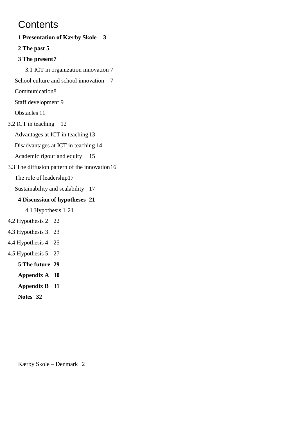## **Contents**

**1 Presentation of Kærby Skole 3 2 The past 5 3 The present7** 3.1 ICT in organization innovation 7 School culture and school innovation 7 Communication8 Staff development 9 Obstacles 11 3.2 ICT in teaching 12 Advantages at ICT in teaching 13 Disadvantages at ICT in teaching 14 Academic rigour and equity 15 3.3 The diffusion pattern of the innovation16 The role of leadership17 Sustainability and scalability 17 **4 Discussion of hypotheses 21** 4.1 Hypothesis 1 21 4.2 Hypothesis 2 22 4.3 Hypothesis 3 23 4.4 Hypothesis 4 25 4.5 Hypothesis 5 27 **5 The future 29 Appendix A 30 Appendix B 31 Notes 32**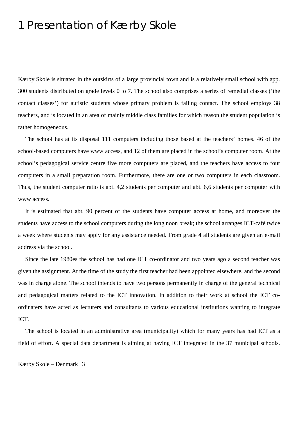## 1 Presentation of Kærby Skole

Kærby Skole is situated in the outskirts of a large provincial town and is a relatively small school with app. 300 students distributed on grade levels 0 to 7. The school also comprises a series of remedial classes ('the contact classes') for autistic students whose primary problem is failing contact. The school employs 38 teachers, and is located in an area of mainly middle class families for which reason the student population is rather homogeneous.

The school has at its disposal 111 computers including those based at the teachers' homes. 46 of the school-based computers have www access, and 12 of them are placed in the school's computer room. At the school's pedagogical service centre five more computers are placed, and the teachers have access to four computers in a small preparation room. Furthermore, there are one or two computers in each classroom. Thus, the student computer ratio is abt. 4,2 students per computer and abt. 6,6 students per computer with www access.

It is estimated that abt. 90 percent of the students have computer access at home, and moreover the students have access to the school computers during the long noon break; the school arranges ICT-café twice a week where students may apply for any assistance needed. From grade 4 all students are given an e-mail address via the school.

Since the late 1980es the school has had one ICT co-ordinator and two years ago a second teacher was given the assignment. At the time of the study the first teacher had been appointed elsewhere, and the second was in charge alone. The school intends to have two persons permanently in charge of the general technical and pedagogical matters related to the ICT innovation. In addition to their work at school the ICT coordinaters have acted as lecturers and consultants to various educational institutions wanting to integrate ICT.

The school is located in an administrative area (municipality) which for many years has had ICT as a field of effort. A special data department is aiming at having ICT integrated in the 37 municipal schools.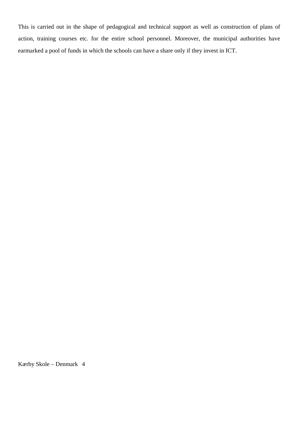This is carried out in the shape of pedagogical and technical support as well as construction of plans of action, training courses etc. for the entire school personnel. Moreover, the municipal authorities have earmarked a pool of funds in which the schools can have a share only if they invest in ICT.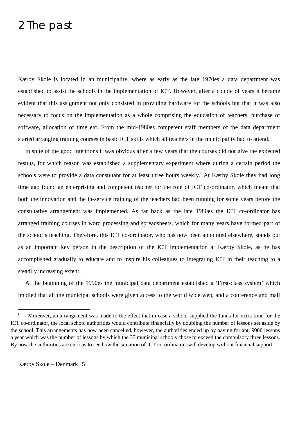## 2 The past

Kærby Skole is located in an municipality, where as early as the late 1970es a data department was established to assist the schools in the implementation of ICT. However, after a couple of years it became evident that this assignment not only consisted in providing hardware for the schools but that it was also necessary to focus on the implementation as a whole comprising the education of teachers, purchase of software, allocation of time etc. From the mid-1980es competent staff members of the data department started arranging training courses in basic ICT skills which all teachers in the municipality had to attend.

In spite of the good intentions it was obvious after a few years that the courses did not give the expected results, for which reason was established a supplementary experiment where during a certain period the schools were to provide a data consultant for at least three hours weekly.<sup>i</sup> At Kærby Skole they had long time ago found an enterprising and competent teacher for the role of ICT co-ordinator, which meant that both the innovation and the in-service training of the teachers had been running for some years before the consultative arrangement was implemented. As far back as the late 1980es the ICT co-ordinator has arranged training courses in word processing and spreadsheets, which for many years have formed part of the school's teaching. Therefore, this ICT co-ordinator, who has now been appointed elsewhere, stands out as an important key person in the description of the ICT implementation at Kærby Skole, as he has accomplished gradually to educate and to inspire his colleagues to integrating ICT in their teaching to a steadily increasing extent.

At the beginning of the 1990es the municipal data department established a 'First-class system' which implied that all the municipal schools were given access to the world wide web, and a conference and mail

 $\rm i$ Moreover, an arrangement was made to the effect that in case a school supplied the funds for extra time for the ICT co-ordinator, the local school authorities would contribute financially by doubling the number of lessons set aside by the school. This arrangements has now been cancelled, however, the authorities ended up by paying for abt. 9000 lessons a year which was the number of lessons by which the 37 municipal schools chose to exceed the compulsory three lessons. By now the authorities are curious to see how the situation of ICT co-ordinators will develop without financial support.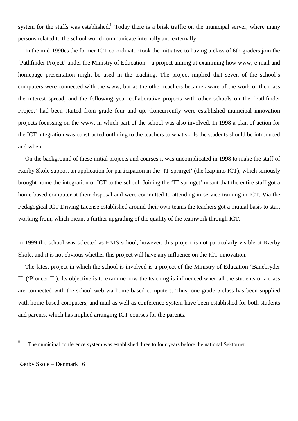system for the staffs was established.<sup>ii</sup> Today there is a brisk traffic on the municipal server, where many persons related to the school world communicate internally and externally.

In the mid-1990es the former ICT co-ordinator took the initiative to having a class of 6th-graders join the 'Pathfinder Project' under the Ministry of Education – a project aiming at examining how www, e-mail and homepage presentation might be used in the teaching. The project implied that seven of the school's computers were connected with the www, but as the other teachers became aware of the work of the class the interest spread, and the following year collaborative projects with other schools on the 'Pathfinder Project' had been started from grade four and up. Concurrently were established municipal innovation projects focussing on the www, in which part of the school was also involved. In 1998 a plan of action for the ICT integration was constructed outlining to the teachers to what skills the students should be introduced and when.

On the background of these initial projects and courses it was uncomplicated in 1998 to make the staff of Kærby Skole support an application for participation in the 'IT-springet' (the leap into ICT), which seriously brought home the integration of ICT to the school. Joining the 'IT-springet' meant that the entire staff got a home-based computer at their disposal and were committed to attending in-service training in ICT. Via the Pedagogical ICT Driving License established around their own teams the teachers got a mutual basis to start working from, which meant a further upgrading of the quality of the teamwork through ICT.

In 1999 the school was selected as ENIS school, however, this project is not particularly visible at Kærby Skole, and it is not obvious whether this project will have any influence on the ICT innovation.

The latest project in which the school is involved is a project of the Ministry of Education 'Banebryder II' ('Pioneer II'). Its objective is to examine how the teaching is influenced when all the students of a class are connected with the school web via home-based computers. Thus, one grade 5-class has been supplied with home-based computers, and mail as well as conference system have been established for both students and parents, which has implied arranging ICT courses for the parents.

 $\mathbf{ii}$ The municipal conference system was established three to four years before the national Sektornet.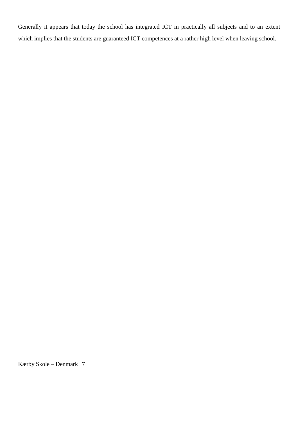Generally it appears that today the school has integrated ICT in practically all subjects and to an extent which implies that the students are guaranteed ICT competences at a rather high level when leaving school.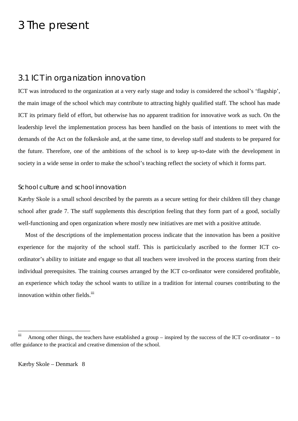## 3 The present

## 3.1 ICT in organization innovation

ICT was introduced to the organization at a very early stage and today is considered the school's 'flagship', the main image of the school which may contribute to attracting highly qualified staff. The school has made ICT its primary field of effort, but otherwise has no apparent tradition for innovative work as such. On the leadership level the implementation process has been handled on the basis of intentions to meet with the demands of the Act on the folkeskole and, at the same time, to develop staff and students to be prepared for the future. Therefore, one of the ambitions of the school is to keep up-to-date with the development in society in a wide sense in order to make the school's teaching reflect the society of which it forms part.

### School culture and school innovation

Kærby Skole is a small school described by the parents as a secure setting for their children till they change school after grade 7. The staff supplements this description feeling that they form part of a good, socially well-functioning and open organization where mostly new initiatives are met with a positive attitude.

Most of the descriptions of the implementation process indicate that the innovation has been a positive experience for the majority of the school staff. This is particicularly ascribed to the former ICT coordinator's ability to initiate and engage so that all teachers were involved in the process starting from their individual prerequisites. The training courses arranged by the ICT co-ordinator were considered profitable, an experience which today the school wants to utilize in a tradition for internal courses contributing to the innovation within other fields.<sup>iii</sup>

iii Among other things, the teachers have established a group – inspired by the success of the ICT co-ordinator – to offer guidance to the practical and creative dimension of the school.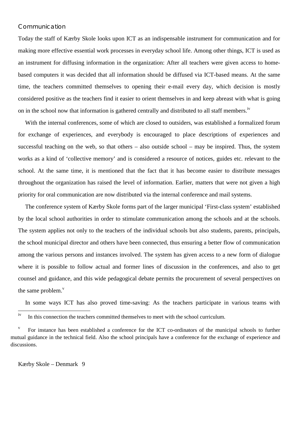### Communication

Today the staff of Kærby Skole looks upon ICT as an indispensable instrument for communication and for making more effective essential work processes in everyday school life. Among other things, ICT is used as an instrument for diffusing information in the organization: After all teachers were given access to homebased computers it was decided that all information should be diffused via ICT-based means. At the same time, the teachers committed themselves to opening their e-mail every day, which decision is mostly considered positive as the teachers find it easier to orient themselves in and keep abreast with what is going on in the school now that information is gathered centrally and distributed to all staff members.<sup>iv</sup>

With the internal conferences, some of which are closed to outsiders, was established a formalized forum for exchange of experiences, and everybody is encouraged to place descriptions of experiences and successful teaching on the web, so that others – also outside school – may be inspired. Thus, the system works as a kind of 'collective memory' and is considered a resource of notices, guides etc. relevant to the school. At the same time, it is mentioned that the fact that it has become easier to distribute messages throughout the organization has raised the level of information. Earlier, matters that were not given a high priority for oral communication are now distributed via the internal conference and mail systems.

The conference system of Kærby Skole forms part of the larger municipal 'First-class system' established by the local school authorities in order to stimulate communication among the schools and at the schools. The system applies not only to the teachers of the individual schools but also students, parents, principals, the school municipal director and others have been connected, thus ensuring a better flow of communication among the various persons and instances involved. The system has given access to a new form of dialogue where it is possible to follow actual and former lines of discussion in the conferences, and also to get counsel and guidance, and this wide pedagogical debate permits the procurement of several perspectives on the same problem. $v$ 

In some ways ICT has also proved time-saving: As the teachers participate in various teams with

 $iv$ In this connection the teachers committed themselves to meet with the school curriculum.

<sup>&</sup>lt;sup>v</sup> For instance has been established a conference for the ICT co-ordinators of the municipal schools to further mutual guidance in the technical field. Also the school principals have a conference for the exchange of experience and discussions.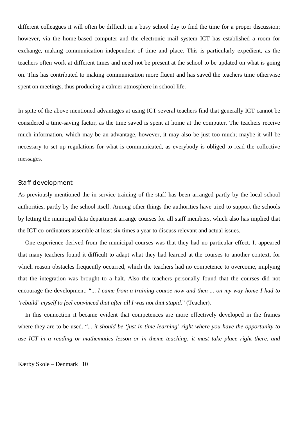different colleagues it will often be difficult in a busy school day to find the time for a proper discussion; however, via the home-based computer and the electronic mail system ICT has established a room for exchange, making communication independent of time and place. This is particularly expedient, as the teachers often work at different times and need not be present at the school to be updated on what is going on. This has contributed to making communication more fluent and has saved the teachers time otherwise spent on meetings, thus producing a calmer atmosphere in school life.

In spite of the above mentioned advantages at using ICT several teachers find that generally ICT cannot be considered a time-saving factor, as the time saved is spent at home at the computer. The teachers receive much information, which may be an advantage, however, it may also be just too much; maybe it will be necessary to set up regulations for what is communicated, as everybody is obliged to read the collective messages.

#### Staff development

As previously mentioned the in-service-training of the staff has been arranged partly by the local school authorities, partly by the school itself. Among other things the authorities have tried to support the schools by letting the municipal data department arrange courses for all staff members, which also has implied that the ICT co-ordinators assemble at least six times a year to discuss relevant and actual issues.

One experience derived from the municipal courses was that they had no particular effect. It appeared that many teachers found it difficult to adapt what they had learned at the courses to another context, for which reason obstacles frequently occurred, which the teachers had no competence to overcome, implying that the integration was brought to a halt. Also the teachers personally found that the courses did not encourage the development: "... *I came from a training course now and then ... on my way home I had to 'rebuild' myself to feel convinced that after all I was not that stupid*." (Teacher).

In this connection it became evident that competences are more effectively developed in the frames where they are to be used. "*... it should be 'just-in-time-learning' right where you have the opportunity to use ICT in a reading or mathematics lesson or in theme teaching; it must take place right there, and*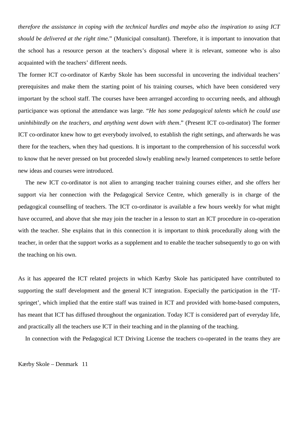*therefore the assistance in coping with the technical hurdles and maybe also the inspiration to using ICT should be delivered at the right time.*" (Municipal consultant). Therefore, it is important to innovation that the school has a resource person at the teachers's disposal where it is relevant, someone who is also acquainted with the teachers' different needs.

The former ICT co-ordinator of Kærby Skole has been successful in uncovering the individual teachers' prerequisites and make them the starting point of his training courses, which have been considered very important by the school staff. The courses have been arrranged according to occurring needs, and although participance was optional the attendance was large. "*He has some pedagogical talents which he could use uninhibitedly on the teachers, and anything went down with them*." (Present ICT co-ordinator) The former ICT co-ordinator knew how to get everybody involved, to establish the right settings, and afterwards he was there for the teachers, when they had questions. It is important to the comprehension of his successful work to know that he never pressed on but proceeded slowly enabling newly learned competences to settle before new ideas and courses were introduced.

The new ICT co-ordinator is not alien to arranging teacher training courses either, and she offers her support via her connection with the Pedagogical Service Centre, which generally is in charge of the pedagogical counselling of teachers. The ICT co-ordinator is available a few hours weekly for what might have occurred, and above that she may join the teacher in a lesson to start an ICT procedure in co-operation with the teacher. She explains that in this connection it is important to think procedurally along with the teacher, in order that the support works as a supplement and to enable the teacher subsequently to go on with the teaching on his own.

As it has appeared the ICT related projects in which Kærby Skole has participated have contributed to supporting the staff development and the general ICT integration. Especially the participation in the 'ITspringet', which implied that the entire staff was trained in ICT and provided with home-based computers, has meant that ICT has diffused throughout the organization. Today ICT is considered part of everyday life, and practically all the teachers use ICT in their teaching and in the planning of the teaching.

In connection with the Pedagogical ICT Driving License the teachers co-operated in the teams they are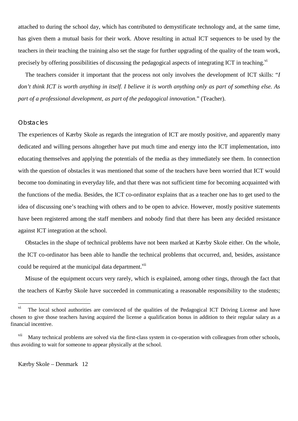attached to during the school day, which has contributed to demystificate technology and, at the same time, has given them a mutual basis for their work. Above resulting in actual ICT sequences to be used by the teachers in their teaching the training also set the stage for further upgrading of the quality of the team work, precisely by offering possibilities of discussing the pedagogical aspects of integrating ICT in teaching.<sup>vi</sup>

The teachers consider it important that the process not only involves the development of ICT skills: "*I don't think ICT is worth anything in itself. I believe it is worth anything only as part of something else. As part of a professional development, as part of the pedagogical innovation.*" (Teacher).

#### **Obstacles**

The experiences of Kærby Skole as regards the integration of ICT are mostly positive, and apparently many dedicated and willing persons altogether have put much time and energy into the ICT implementation, into educating themselves and applying the potentials of the media as they immediately see them. In connection with the question of obstacles it was mentioned that some of the teachers have been worried that ICT would become too dominating in everyday life, and that there was not sufficient time for becoming acquainted with the functions of the media. Besides, the ICT co-ordinator explains that as a teacher one has to get used to the idea of discussing one's teaching with others and to be open to advice. However, mostly positive statements have been registered among the staff members and nobody find that there has been any decided resistance against ICT integration at the school.

Obstacles in the shape of technical problems have not been marked at Kærby Skole either. On the whole, the ICT co-ordinator has been able to handle the technical problems that occurred, and, besides, assistance could be required at the municipal data department.<sup>vii</sup>

Misuse of the equipment occurs very rarely, which is explained, among other tings, through the fact that the teachers of Kærby Skole have succeeded in communicating a reasonable responsibility to the students;

 $\overline{\mathbf{vi}}$ The local school authorities are convinced of the qualities of the Pedagogical ICT Driving License and have chosen to give those teachers having acquired the license a qualification bonus in addition to their regular salary as a financial incentive.

Many technical problems are solved via the first-class system in co-operation with colleagues from other schools, thus avoiding to wait for someone to appear physically at the school.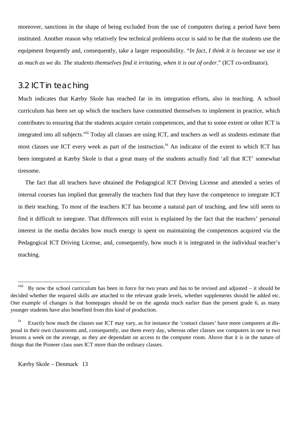moreover, sanctions in the shape of being excluded from the use of computers during a period have been instituted. Another reason why relatively few technical problems occur is said to be that the students use the equipment frequently and, consequently, take a larger responsibility. "*In fact, I think it is because we use it as much as we do. The students themselves find it irritating, when it is out of order.*" (ICT co-ordinator).

## 3.2 ICT in teaching

Much indicates that Kærby Skole has reached far in its integration efforts, also in teaching. A school curriculum has been set up which the teachers have committed themselves to implement in practice, which contributes to ensuring that the students acquire certain competences, and that to some extent or other ICT is integrated into all subjects.<sup>viii</sup> Today all classes are using ICT, and teachers as well as students estimate that most classes use ICT every week as part of the instruction.<sup>ix</sup> An indicator of the extent to which ICT has been integrated at Kærby Skole is that a great many of the students actually find 'all that ICT' somewhat tiresome.

The fact that all teachers have obtained the Pedagogical ICT Driving License and attended a series of internal courses has implied that generally the teachers find that they have the competence to integrate ICT in their teaching. To most of the teachers ICT has become a natural part of teaching, and few still seem to find it difficult to integrate. That differences still exist is explained by the fact that the teachers' personal interest in the media decides how much energy is spent on maintaining the competences acquired via the Pedagogical ICT Driving License, and, consequently, how much it is integrated in the individual teacher's teaching.

 $\overline{a}$ 

<sup>&</sup>lt;sup>viii</sup> By now the school curriculum has been in force for two years and has to be revised and adjusted – it should be decided whether the required skills are attached to the relevant grade levels, whether supplements should be added etc. One example of changes is that homepages should be on the agenda much earlier than the present grade 6, as many younger students have also benefited from this kind of production.

ix Exactly how much the classes use ICT may vary, as for instance the 'contact classes' have more computers at disposal in their own classrooms and, consequently, use them every day, whereas other classes use computers in one to two lessons a week on the average, as they are dependant on access to the computer room. Above that it is in the nature of things that the Pioneer class uses ICT more than the ordinary classes.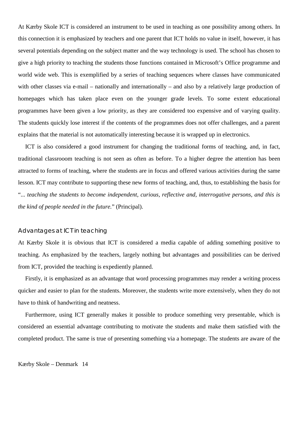At Kærby Skole ICT is considered an instrument to be used in teaching as one possibility among others. In this connection it is emphasized by teachers and one parent that ICT holds no value in itself, however, it has several potentials depending on the subject matter and the way technology is used. The school has chosen to give a high priority to teaching the students those functions contained in Microsoft's Office programme and world wide web. This is exemplified by a series of teaching sequences where classes have communicated with other classes via e-mail – nationally and internationally – and also by a relatively large production of homepages which has taken place even on the younger grade levels. To some extent educational programmes have been given a low priority, as they are considered too expensive and of varying quality. The students quickly lose interest if the contents of the programmes does not offer challenges, and a parent explains that the material is not automatically interesting because it is wrapped up in electronics.

ICT is also considered a good instrument for changing the traditional forms of teaching, and, in fact, traditional classrooom teaching is not seen as often as before. To a higher degree the attention has been attracted to forms of teaching, where the students are in focus and offered various activities during the same lesson. ICT may contribute to supporting these new forms of teaching, and, thus, to establishing the basis for "... *teaching the students to become independent, curious, reflective and, interrogative persons, and this is the kind of people needed in the future.*" (Principal).

### Advantages at ICT in teaching

At Kærby Skole it is obvious that ICT is considered a media capable of adding something positive to teaching. As emphasized by the teachers, largely nothing but advantages and possibilities can be derived from ICT, provided the teaching is expediently planned.

Firstly, it is emphasized as an advantage that word processing programmes may render a writing process quicker and easier to plan for the students. Moreover, the students write more extensively, when they do not have to think of handwriting and neatness.

Furthermore, using ICT generally makes it possible to produce something very presentable, which is considered an essential advantage contributing to motivate the students and make them satisfied with the completed product. The same is true of presenting something via a homepage. The students are aware of the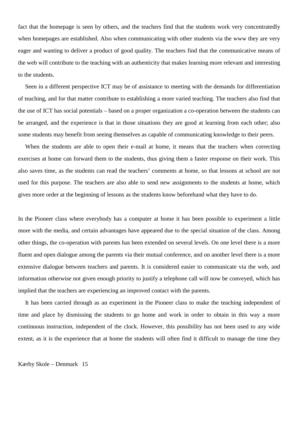fact that the homepage is seen by others, and the teachers find that the students work very concentratedly when homepages are established. Also when communicating with other students via the www they are very eager and wanting to deliver a product of good quality. The teachers find that the communicative means of the web will contribute to the teaching with an authenticity that makes learning more relevant and interesting to the students.

Seen in a different perspective ICT may be of assistance to meeting with the demands for differentiation of teaching, and for that matter contribute to establishing a more varied teaching. The teachers also find that the use of ICT has social potentials – based on a proper organization a co-operation between the students can be arranged, and the experience is that in those situations they are good at learning from each other; also some students may benefit from seeing themselves as capable of communicating knowledge to their peers.

When the students are able to open their e-mail at home, it means that the teachers when correcting exercises at home can forward them to the students, thus giving them a faster response on their work. This also saves time, as the students can read the teachers' comments at home, so that lessons at school are not used for this purpose. The teachers are also able to send new assignments to the students at home, which gives more order at the beginning of lessons as the students know beforehand what they have to do.

In the Pioneer class where everybody has a computer at home it has been possible to experiment a little more with the media, and certain advantages have appeared due to the special situation of the class. Among other things, the co-operation with parents has been extended on several levels. On one level there is a more fluent and open dialogue among the parents via their mutual conference, and on another level there is a more extensive dialogue between teachers and parents. It is considered easier to communicate via the web, and information otherwise not given enough priority to justify a telephone call will now be conveyed, which has implied that the teachers are experiencing an improved contact with the parents.

It has been carried through as an experiment in the Pioneer class to make the teaching independent of time and place by dismissing the students to go home and work in order to obtain in this way a more continuous instruction, independent of the clock. However, this possibility has not been used to any wide extent, as it is the experience that at home the students will often find it difficult to manage the time they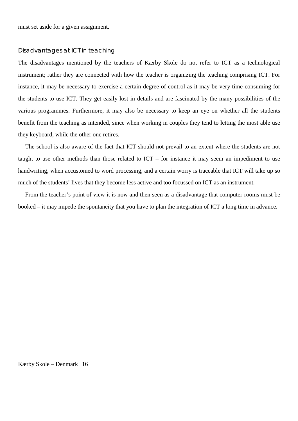must set aside for a given assignment.

#### Disadvantages at ICT in teaching

The disadvantages mentioned by the teachers of Kærby Skole do not refer to ICT as a technological instrument; rather they are connected with how the teacher is organizing the teaching comprising ICT. For instance, it may be necessary to exercise a certain degree of control as it may be very time-consuming for the students to use ICT. They get easily lost in details and are fascinated by the many possibilities of the various programmes. Furthermore, it may also be necessary to keep an eye on whether all the students benefit from the teaching as intended, since when working in couples they tend to letting the most able use they keyboard, while the other one retires.

The school is also aware of the fact that ICT should not prevail to an extent where the students are not taught to use other methods than those related to ICT – for instance it may seem an impediment to use handwriting, when accustomed to word processing, and a certain worry is traceable that ICT will take up so much of the students' lives that they become less active and too focussed on ICT as an instrument.

From the teacher's point of view it is now and then seen as a disadvantage that computer rooms must be booked – it may impede the spontaneity that you have to plan the integration of ICT a long time in advance.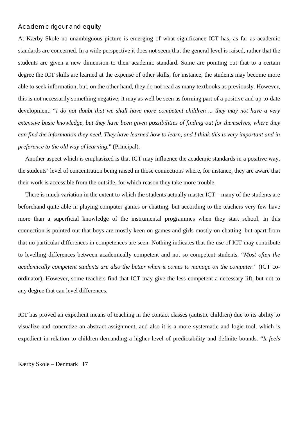### Academic rigour and equity

At Kærby Skole no unambiguous picture is emerging of what significance ICT has, as far as academic standards are concerned. In a wide perspective it does not seem that the general level is raised, rather that the students are given a new dimension to their academic standard. Some are pointing out that to a certain degree the ICT skills are learned at the expense of other skills; for instance, the students may become more able to seek information, but, on the other hand, they do not read as many textbooks as previously. However, this is not necessarily something negative; it may as well be seen as forming part of a positive and up-to-date development: "*I do not doubt that we shall have more competent children ... they may not have a very extensive basic knowledge, but they have been given possibilities of finding out for themselves, where they can find the information they need. They have learned how to learn, and I think this is very important and in preference to the old way of learning.*" (Principal).

Another aspect which is emphasized is that ICT may influence the academic standards in a positive way, the students' level of concentration being raised in those connections where, for instance, they are aware that their work is accessible from the outside, for which reason they take more trouble.

There is much variation in the extent to which the students actually master ICT – many of the students are beforehand quite able in playing computer games or chatting, but according to the teachers very few have more than a superficial knowledge of the instrumental programmes when they start school. In this connection is pointed out that boys are mostly keen on games and girls mostly on chatting, but apart from that no particular differences in competences are seen. Nothing indicates that the use of ICT may contribute to levelling differences between academically competent and not so competent students. "*Most often the academically competent students are also the better when it comes to manage on the computer.*" (ICT coordinator). However, some teachers find that ICT may give the less competent a necessary lift, but not to any degree that can level differences.

ICT has proved an expedient means of teaching in the contact classes (autistic children) due to its ability to visualize and concretize an abstract assignment, and also it is a more systematic and logic tool, which is expedient in relation to children demanding a higher level of predictability and definite bounds. "*It feels*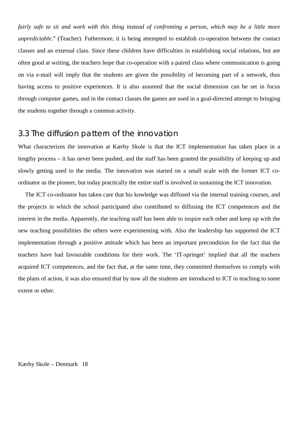*fairly safe to sit and work with this thing instead of confronting a person, which may be a little more unpredictable*." (Teacher). Futhermore, it is being attempted to establish co-operation between the contact classes and an external class. Since these children have difficulties in establishing social relations, but are often good at writing, the teachers hope that co-operation with a paired class where communication is going on via e-mail will imply that the students are given the possibility of becoming part of a network, thus having access to positive experiences. It is also assumed that the social dimension can be set in focus through computer games, and in the contact classes the games are used in a goal-directed attempt to bringing the students together through a common activity.

## 3.3 The diffusion pattern of the innovation

What characterizes the innovation at Kærby Skole is that the ICT implementation has taken place in a lengthy process – it has never been pushed, and the staff has been granted the possibility of keeping up and slowly getting used to the media. The innovation was started on a small scale with the former ICT coordinator as the pioneer, but today practically the entire staff is involved in sustaining the ICT innovation.

The ICT co-ordinator has taken care that his kowledge was diffused via the internal training courses, and the projects in which the school participated also contributed to diffusing the ICT competences and the interest in the media. Apparently, the teaching staff has been able to inspire each other and keep up with the new teaching possibilities the others were experimenting with. Also the leadership has supported the ICT implementation through a positive attitude which has been an important precondition for the fact that the teachers have had favourable conditions for their work. The 'IT-springet' implied that all the teachers acquired ICT competences, and the fact that, at the same time, they committed themselves to comply with the plans of action, it was also ensured that by now all the students are introduced to ICT in teaching to some extent or other.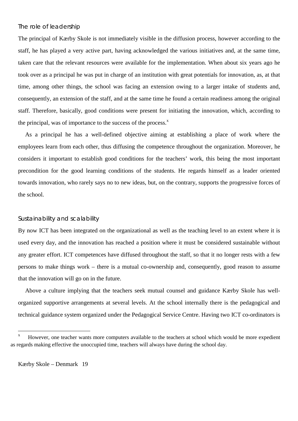### The role of leadership

The principal of Kærby Skole is not immediately visible in the diffusion process, however according to the staff, he has played a very active part, having acknowledged the various initiatives and, at the same time, taken care that the relevant resources were available for the implementation. When about six years ago he took over as a principal he was put in charge of an institution with great potentials for innovation, as, at that time, among other things, the school was facing an extension owing to a larger intake of students and, consequently, an extension of the staff, and at the same time he found a certain readiness among the original staff. Therefore, basically, good conditions were present for initiating the innovation, which, according to the principal, was of importance to the success of the process. $^x$ 

As a principal he has a well-defined objective aiming at establishing a place of work where the employees learn from each other, thus diffusing the competence throughout the organization. Moreover, he considers it important to establish good conditions for the teachers' work, this being the most important precondition for the good learning conditions of the students. He regards himself as a leader oriented towards innovation, who rarely says no to new ideas, but, on the contrary, supports the progressive forces of the school.

#### Sustainability and scalability

By now ICT has been integrated on the organizational as well as the teaching level to an extent where it is used every day, and the innovation has reached a position where it must be considered sustainable without any greater effort. ICT competences have diffused throughout the staff, so that it no longer rests with a few persons to make things work – there is a mutual co-ownership and, consequently, good reason to assume that the innovation will go on in the future.

Above a culture implying that the teachers seek mutual counsel and guidance Kærby Skole has wellorganized supportive arrangements at several levels. At the school internally there is the pedagogical and technical guidance system organized under the Pedagogical Service Centre. Having two ICT co-ordinators is

 $\overline{a}$ 

However, one teacher wants more computers available to the teachers at school which would be more expedient as regards making effective the unoccupied time, teachers will always have during the school day.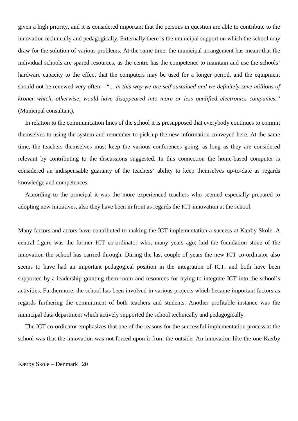given a high priority, and it is considered important that the persons in question are able to contribute to the innovation technically and pedagogically. Externally there is the municipal support on which the school may draw for the solution of various problems. At the same time, the municipal arrangement has meant that the individual schools are spared resources, as the centre has the competence to maintain and use the schools' hardware capacity to the effect that the computers may be used for a longer period, and the equipment should not be renewed very often – "... *in this way we are self-sustained and we definitely save millions of kroner which, otherwise, would have disappeared into more or less qualified electronics companies."* (Municipal consultant).

In relation to the communication lines of the school it is presupposed that everybody continues to commit themselves to using the system and remember to pick up the new information conveyed here. At the same time, the teachers themselves must keep the various conferences going, as long as they are considered relevant by contributing to the discussions suggested. In this connection the home-based computer is considered an indispensable guaranty of the teachers' ability to keep themselves up-to-date as regards knowledge and competences.

According to the principal it was the more experienced teachers who seemed especially prepared to adopting new initiatives, also they have been in front as regards the ICT innovation at the school.

Many factors and actors have contributed to making the ICT implementation a success at Kærby Skole. A central figure was the former ICT co-ordinator who, many years ago, laid the foundation stone of the innovation the school has carried through. During the last couple of years the new ICT co-ordinator also seems to have had an important pedagogical position in the integration of ICT, and both have been supported by a leadership granting them room and resources for trying to integrate ICT into the school's activities. Furthermore, the school has been involved in various projects which became important factors as regards furthering the commitment of both teachers and students. Another profitable instance was the municipal data department which actively supported the school technically and pedagogically.

The ICT co-ordinator emphasizes that one of the reasons for the successful implementation process at the school was that the innovation was not forced upon it from the outside. An innovation like the one Kærby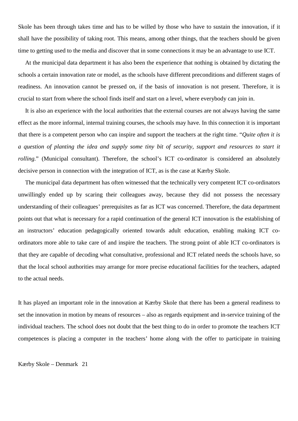Skole has been through takes time and has to be willed by those who have to sustain the innovation, if it shall have the possibility of taking root. This means, among other things, that the teachers should be given time to getting used to the media and discover that in some connections it may be an advantage to use ICT.

At the municipal data department it has also been the experience that nothing is obtained by dictating the schools a certain innovation rate or model, as the schools have different preconditions and different stages of readiness. An innovation cannot be pressed on, if the basis of innovation is not present. Therefore, it is crucial to start from where the school finds itself and start on a level, where everybody can join in.

It is also an experience with the local authorities that the external courses are not always having the same effect as the more informal, internal training courses, the schools may have. In this connection it is important that there is a competent person who can inspire and support the teachers at the right time. "*Quite often it is a question of planting the idea and supply some tiny bit of security, support and resources to start it rolling.*" (Municipal consultant). Therefore, the school's ICT co-ordinator is considered an absolutely decisive person in connection with the integration of ICT, as is the case at Kærby Skole.

The municipal data department has often witnessed that the technically very competent ICT co-ordinators unwillingly ended up by scaring their colleagues away, because they did not possess the necessary understanding of their colleagues' prerequisites as far as ICT was concerned. Therefore, the data department points out that what is necessary for a rapid continuation of the general ICT innovation is the establishing of an instructors' education pedagogically oriented towards adult education, enabling making ICT coordinators more able to take care of and inspire the teachers. The strong point of able ICT co-ordinators is that they are capable of decoding what consultative, professional and ICT related needs the schools have, so that the local school authorities may arrange for more precise educational facilities for the teachers, adapted to the actual needs.

It has played an important role in the innovation at Kærby Skole that there has been a general readiness to set the innovation in motion by means of resources – also as regards equipment and in-service training of the individual teachers. The school does not doubt that the best thing to do in order to promote the teachers ICT competences is placing a computer in the teachers' home along with the offer to participate in training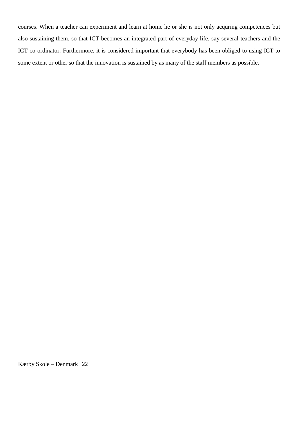courses. When a teacher can experiment and learn at home he or she is not only acquring competences but also sustaining them, so that ICT becomes an integrated part of everyday life, say several teachers and the ICT co-ordinator. Furthermore, it is considered important that everybody has been obliged to using ICT to some extent or other so that the innovation is sustained by as many of the staff members as possible.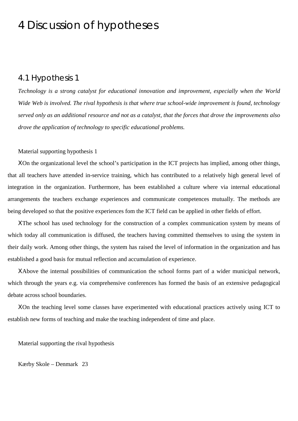## 4 Discussion of hypotheses

### 4.1 Hypothesis 1

*Technology is a strong catalyst for educational innovation and improvement, especially when the World Wide Web is involved. The rival hypothesis is that where true school-wide improvement is found, technology served only as an additional resource and not as a catalyst, that the forces that drove the improvements also drove the application of technology to specific educational problems.*

### Material supporting hypothesis 1

ΧOn the organizational level the school's participation in the ICT projects has implied, among other things, that all teachers have attended in-service training, which has contributed to a relatively high general level of integration in the organization. Furthermore, has been established a culture where via internal educational arrangements the teachers exchange experiences and communicate competences mutually. The methods are being developed so that the positive experiences fom the ICT field can be applied in other fields of effort.

ΧThe school has used technology for the construction of a complex communication system by means of which today all communication is diffused, the teachers having committed themselves to using the system in their daily work. Among other things, the system has raised the level of information in the organization and has established a good basis for mutual reflection and accumulation of experience.

ΧAbove the internal possibilities of communication the school forms part of a wider municipal network, which through the years e.g. via comprehensive conferences has formed the basis of an extensive pedagogical debate across school boundaries.

ΧOn the teaching level some classes have experimented with educational practices actively using ICT to establish new forms of teaching and make the teaching independent of time and place.

Material supporting the rival hypothesis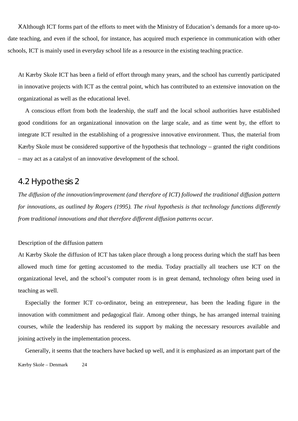ΧAlthough ICT forms part of the efforts to meet with the Ministry of Education's demands for a more up-todate teaching, and even if the school, for instance, has acquired much experience in communication with other schools, ICT is mainly used in everyday school life as a resource in the existing teaching practice.

At Kærby Skole ICT has been a field of effort through many years, and the school has currently participated in innovative projects with ICT as the central point, which has contributed to an extensive innovation on the organizational as well as the educational level.

A conscious effort from both the leadership, the staff and the local school authorities have established good conditions for an organizational innovation on the large scale, and as time went by, the effort to integrate ICT resulted in the establishing of a progressive innovative environment. Thus, the material from Kærby Skole must be considered supportive of the hypothesis that technology – granted the right conditions – may act as a catalyst of an innovative development of the school.

## 4.2 Hypothesis 2

*The diffusion of the innovation/improvement (and therefore of ICT) followed the traditional diffusion pattern for innovations, as outlined by Rogers (1995). The rival hypothesis is that technology functions differently from traditional innovations and that therefore different diffusion patterns occur.*

### Description of the diffusion pattern

At Kærby Skole the diffusion of ICT has taken place through a long process during which the staff has been allowed much time for getting accustomed to the media. Today practially all teachers use ICT on the organizational level, and the school's computer room is in great demand, technology often being used in teaching as well.

Especially the former ICT co-ordinator, being an entrepreneur, has been the leading figure in the innovation with commitment and pedagogical flair. Among other things, he has arranged internal training courses, while the leadership has rendered its support by making the necessary resources available and joining actively in the implementation process.

Kærby Skole – Denmark 24 Generally, it seems that the teachers have backed up well, and it is emphasized as an important part of the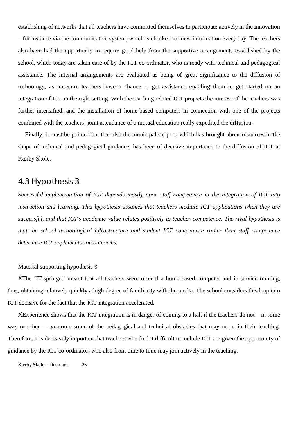establishing of networks that all teachers have committed themselves to participate actively in the innovation – for instance via the communicative system, which is checked for new information every day. The teachers also have had the opportunity to require good help from the supportive arrangements established by the school, which today are taken care of by the ICT co-ordinator, who is ready with technical and pedagogical assistance. The internal arrangements are evaluated as being of great significance to the diffusion of technology, as unsecure teachers have a chance to get assistance enabling them to get started on an integration of ICT in the right setting. With the teaching related ICT projects the interest of the teachers was further intensified, and the installation of home-based computers in connection with one of the projects combined with the teachers' joint attendance of a mutual education really expedited the diffusion.

Finally, it must be pointed out that also the municipal support, which has brought about resources in the shape of technical and pedagogical guidance, has been of decisive importance to the diffusion of ICT at Kærby Skole.

## 4.3 Hypothesis 3

*Successful implementation of ICT depends mostly upon staff competence in the integration of ICT into instruction and learning. This hypothesis assumes that teachers mediate ICT applications when they are successful, and that ICT's academic value relates positively to teacher competence. The rival hypothesis is that the school technological infrastructure and student ICT competence rather than staff competence determine ICT implementation outcomes.*

#### Material supporting hypothesis 3

ΧThe 'IT-springet' meant that all teachers were offered a home-based computer and in-service training, thus, obtaining relatively quickly a high degree of familiarity with the media. The school considers this leap into ICT decisive for the fact that the ICT integration accelerated.

ΧExperience shows that the ICT integration is in danger of coming to a halt if the teachers do not – in some way or other – overcome some of the pedagogical and technical obstacles that may occur in their teaching. Therefore, it is decisively important that teachers who find it difficult to include ICT are given the opportunity of guidance by the ICT co-ordinator, who also from time to time may join actively in the teaching.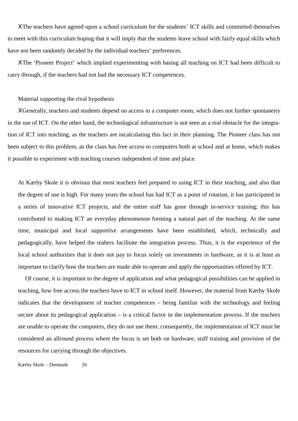ΧThe teachers have agreed upon a school curriculum for the students' ICT skills and committed themselves to meet with this curriculum hoping that it will imply that the students leave school with fairly equal skills which have not been randomly decided by the individual teachers' preferences.

ΧThe 'Pioneer Project' which implied experimenting with basing all teaching on ICT had been difficult to carry through, if the teachers had not had the necessary ICT competences.

#### Material supporting the rival hypothesis

ΧGenerally, teachers and students depend on access to a computer room, which does not further spontaneity in the use of ICT. On the other hand, the technological infrastructure is not seen as a real obstacle for the integration of ICT into teaching, as the teachers are incalculating this fact in their planning. The Pioneer class has not been subject to this problem, as the class has free access to computers both at school and at home, which makes it possible to experiment with teaching courses independent of time and place.

At Kærby Skole it is obvious that most teachers feel prepared to using ICT in their teaching, and also that the degree of use is high. For many years the school has had ICT as a point of rotation, it has participated in a series of innovative ICT projects, and the entire staff has gone through in-service training; this has contributed to making ICT an everyday phenomenon forming a natural part of the teaching. At the same time, municipal and local supportive arrangements have been established, which, technically and pedagogically, have helped the teahers facilitate the integration process. Thus, it is the experience of the local school authorities that it does not pay to focus solely on investments in hardware, as it is at least as important to clarify how the teachers are made able to operate and apply the opportunities offered by ICT.

Of course, it is important to the degree of application and what pedagogical possibilities can be applied in teaching, how free access the teachers have to ICT in school itself. However, the material from Kærby Skole indicates that the development of teacher competences – being familiar with the technology and feeling secure about its pedagogical application – is a critical factor in the implementation process. If the teachers are unable to operate the computers, they do not use them; consequently, the implementation of ICT must be considered an allround process where the focus is set both on hardware, staff training and provision of the resources for carrying through the objectives.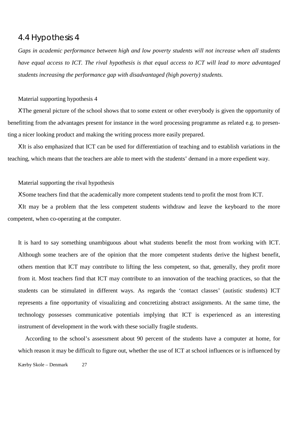## 4.4 Hypothesis 4

*Gaps in academic performance between high and low poverty students will not increase when all students have equal access to ICT. The rival hypothesis is that equal access to ICT will lead to more advantaged students increasing the performance gap with disadvantaged (high poverty) students.*

#### Material supporting hypothesis 4

ΧThe general picture of the school shows that to some extent or other everybody is given the opportunity of benefitting from the advantages present for instance in the word processing programme as related e.g. to presenting a nicer looking product and making the writing process more easily prepared.

ΧIt is also emphasized that ICT can be used for differentiation of teaching and to establish variations in the teaching, which means that the teachers are able to meet with the students' demand in a more expedient way.

#### Material supporting the rival hypothesis

ΧSome teachers find that the academically more competent students tend to profit the most from ICT.

ΧIt may be a problem that the less competent students withdraw and leave the keyboard to the more competent, when co-operating at the computer.

It is hard to say something unambiguous about what students benefit the most from working with ICT. Although some teachers are of the opinion that the more competent students derive the highest benefit, others mention that ICT may contribute to lifting the less competent, so that, generally, they profit more from it. Most teachers find that ICT may contribute to an innovation of the teaching practices, so that the students can be stimulated in different ways. As regards the 'contact classes' (autistic students) ICT represents a fine opportunity of visualizing and concretizing abstract assignments. At the same time, the technology possesses communicative potentials implying that ICT is experienced as an interesting instrument of development in the work with these socially fragile students.

Kærby Skole – Denmark 27 According to the school's assessment about 90 percent of the students have a computer at home, for which reason it may be difficult to figure out, whether the use of ICT at school influences or is influenced by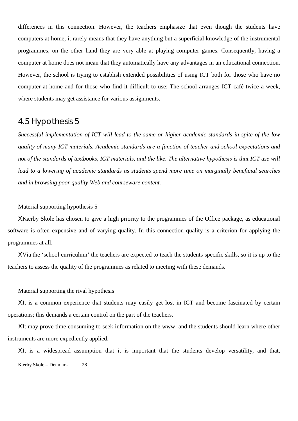differences in this connection. However, the teachers emphasize that even though the students have computers at home, it rarely means that they have anything but a superficial knowledge of the instrumental programmes, on the other hand they are very able at playing computer games. Consequently, having a computer at home does not mean that they automatically have any advantages in an educational connection. However, the school is trying to establish extended possibilities of using ICT both for those who have no computer at home and for those who find it difficult to use: The school arranges ICT café twice a week, where students may get assistance for various assignments.

## 4.5 Hypothesis 5

*Successful implementation of ICT will lead to the same or higher academic standards in spite of the low quality of many ICT materials. Academic standards are a function of teacher and school expectations and not of the standards of textbooks, ICT materials, and the like. The alternative hypothesis is that ICT use will lead to a lowering of academic standards as students spend more time on marginally beneficial searches and in browsing poor quality Web and courseware content.*

### Material supporting hypothesis 5

ΧKærby Skole has chosen to give a high priority to the programmes of the Office package, as educational software is often expensive and of varying quality. In this connection quality is a criterion for applying the programmes at all.

ΧVia the 'school curriculum' the teachers are expected to teach the students specific skills, so it is up to the teachers to assess the quality of the programmes as related to meeting with these demands.

Material supporting the rival hypothesis

ΧIt is a common experience that students may easily get lost in ICT and become fascinated by certain operations; this demands a certain control on the part of the teachers.

ΧIt may prove time consuming to seek information on the www, and the students should learn where other instruments are more expediently applied.

Kærby Skole – Denmark 28 ΧIt is a widespread assumption that it is important that the students develop versatility, and that,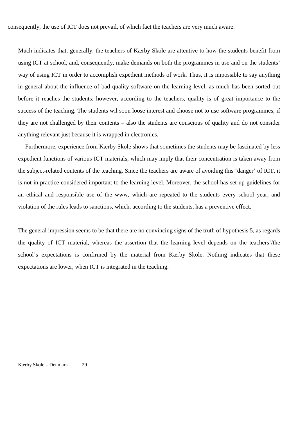consequently, the use of ICT does not prevail, of which fact the teachers are very much aware.

Much indicates that, generally, the teachers of Kærby Skole are attentive to how the students benefit from using ICT at school, and, consequently, make demands on both the programmes in use and on the students' way of using ICT in order to accomplish expedient methods of work. Thus, it is impossible to say anything in general about the influence of bad quality software on the learning level, as much has been sorted out before it reaches the students; however, according to the teachers, quality is of great importance to the success of the teaching. The students wil soon loose interest and choose not to use software programmes, if they are not challenged by their contents – also the students are conscious of quality and do not consider anything relevant just because it is wrapped in electronics.

Furthermore, experience from Kærby Skole shows that sometimes the students may be fascinated by less expedient functions of various ICT materials, which may imply that their concentration is taken away from the subject-related contents of the teaching. Since the teachers are aware of avoiding this 'danger' of ICT, it is not in practice considered important to the learning level. Moreover, the school has set up guidelines for an ethical and responsible use of the www, which are repeated to the students every school year, and violation of the rules leads to sanctions, which, according to the students, has a preventive effect.

The general impression seems to be that there are no convincing signs of the truth of hypothesis 5, as regards the quality of ICT material, whereas the assertion that the learning level depends on the teachers'/the school's expectations is confirmed by the material from Kærby Skole. Nothing indicates that these expectations are lower, when ICT is integrated in the teaching.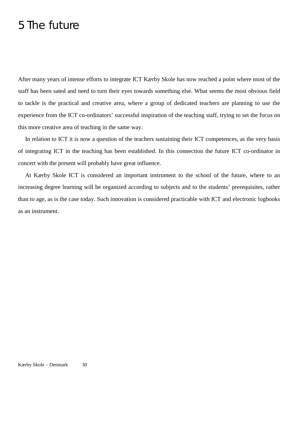## 5 The future

After many years of intense efforts to integrate ICT Kærby Skole has now reached a point where most of the staff has been sated and need to turn their eyes towards something else. What seems the most obvious field to tackle is the practical and creative area, where a group of dedicated teachers are planning to use the experience from the ICT co-ordinators' successful inspiration of the teaching staff, trying to set the focus on this more creative area of teaching in the same way.

In relation to ICT it is now a question of the teachers sustaining their ICT competences, as the very basis of integrating ICT in the teaching has been established. In this connection the future ICT co-ordinator in concert with the present will probably have great influence.

At Kærby Skole ICT is considered an important instrument to the school of the future, where to an increasing degree learning will be organized according to subjects and to the students' prerequisites, rather than to age, as is the case today. Such innovation is considered practicable with ICT and electronic logbooks as an instrument.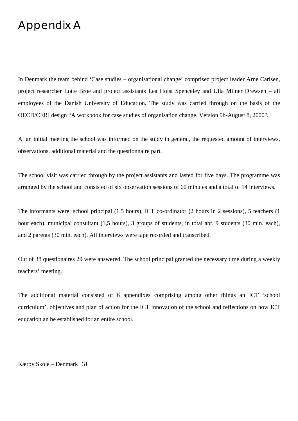## Appendix A

In Denmark the team behind 'Case studies – organisational change' comprised project leader Arne Carlsen, project researcher Lotte Broe and project assistants Lea Holst Spenceley and Ulla Milner Drewsen – all employees of the Danish University of Education. The study was carried through on the basis of the OECD/CERI design "A workbook for case studies of organisation change. Version 9b-August 8, 2000".

At an initial meeting the school was informed on the study in general, the requested amount of interviews, observations, additional material and the questionnaire part.

The school visit was carried through by the project assistants and lasted for five days. The programme was arranged by the school and consisted of six observation sessions of 60 minutes and a total of 14 interviews.

The informants were: school principal (1,5 hours), ICT co-ordinator (2 hours in 2 sessions), 5 teachers (1 hour each), municipal consultant (1,5 hours), 3 groups of students, in total abt. 9 students (30 min. each), and 2 parents (30 min. each). All interviews were tape recorded and transcribed.

Out of 38 questionaires 29 were answered. The school principal granted the necessary time during a weekly teachers' meeting.

The additional material consisted of 6 appendixes comprising among other things an ICT 'school curriculum', objectives and plan of action for the ICT innovation of the school and reflections on how ICT education an be established for an entire school.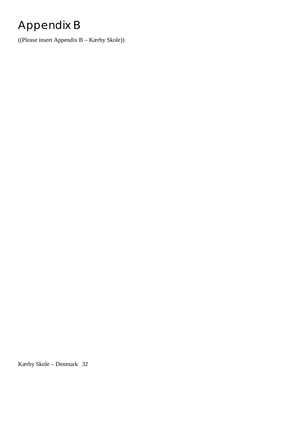# Appendix B

((Please insert Appendix B – Kærby Skole))